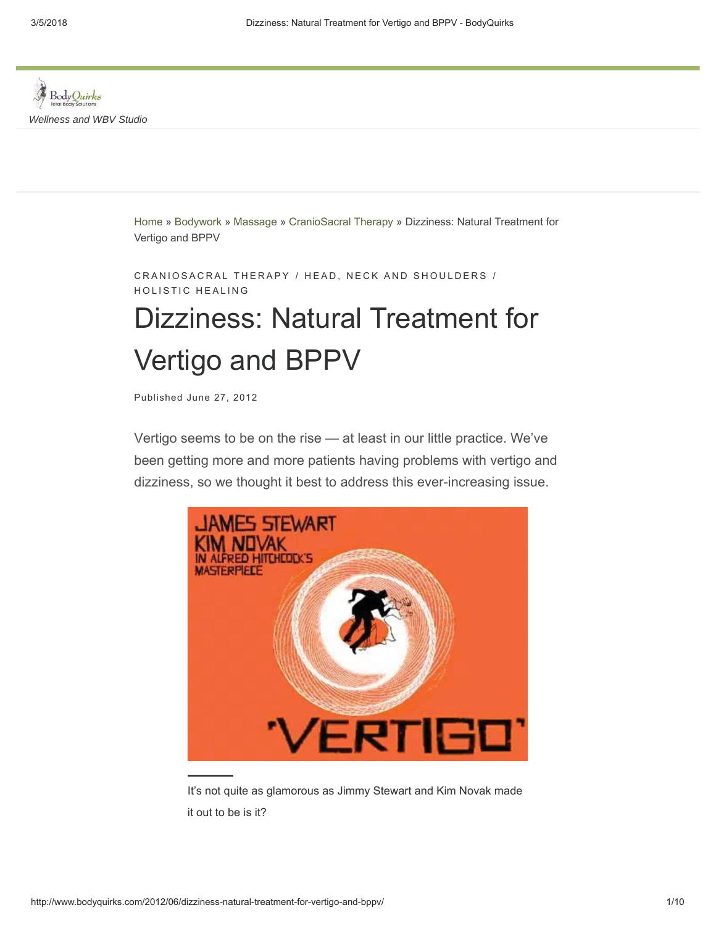

Home » Bodywork » Massage » CranioSacral Therapy » Dizziness: Natural Treatment for Vertigo and BPPV

CRANIOSACRAL THERAPY / HEAD, NECK AND SHOULDERS / HOLISTIC HEALING

# Dizziness: Natural Treatment for Vertigo and BPPV

Published June 27, 2012

Vertigo seems to be on the rise — at least in our little practice. We've been getting more and more patients having problems with vertigo and dizziness, so we thought it best to address this ever-increasing issue.



It's not quite as glamorous as Jimmy Stewart and Kim Novak made it out to be is it?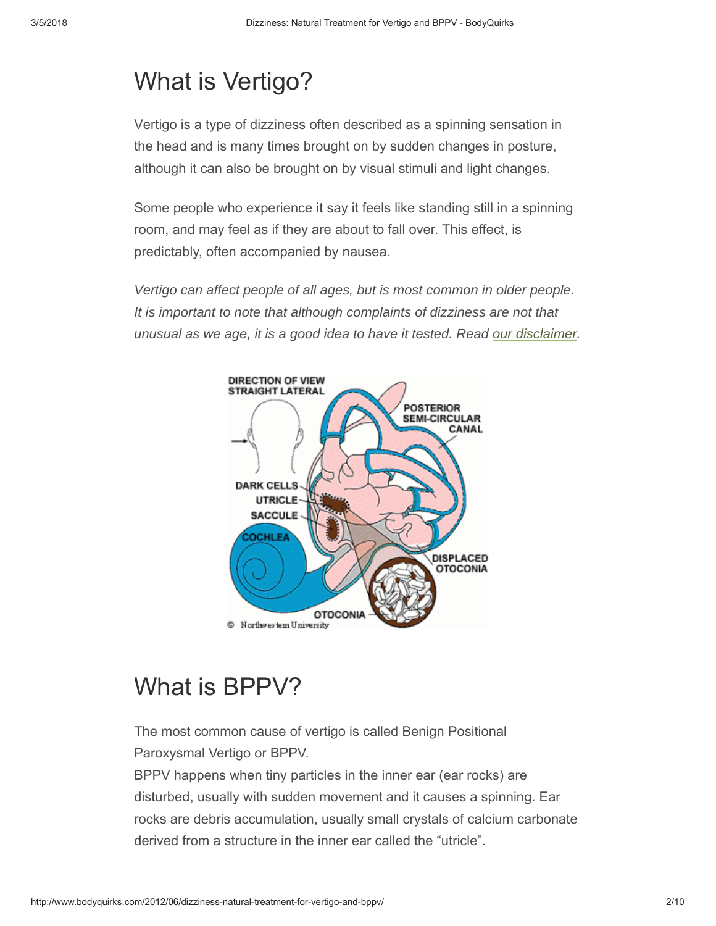## What is Vertigo?

Vertigo is a type of dizziness often described as a spinning sensation in the head and is many times brought on by sudden changes in posture, although it can also be brought on by visual stimuli and light changes.

Some people who experience it say it feels like standing still in a spinning room, and may feel as if they are about to fall over. This effect, is predictably, often accompanied by nausea.

*Vertigo can affect people of all ages, but is most common in older people. It is important to note that although complaints of dizziness are not that unusual as we age, it is a good idea to have it tested. Read our disclaimer.*



# What is BPPV?

The most common cause of vertigo is called Benign Positional Paroxysmal Vertigo or BPPV.

BPPV happens when tiny particles in the inner ear (ear rocks) are disturbed, usually with sudden movement and it causes a spinning. Ear rocks are debris accumulation, usually small crystals of calcium carbonate derived from a structure in the inner ear called the "utricle".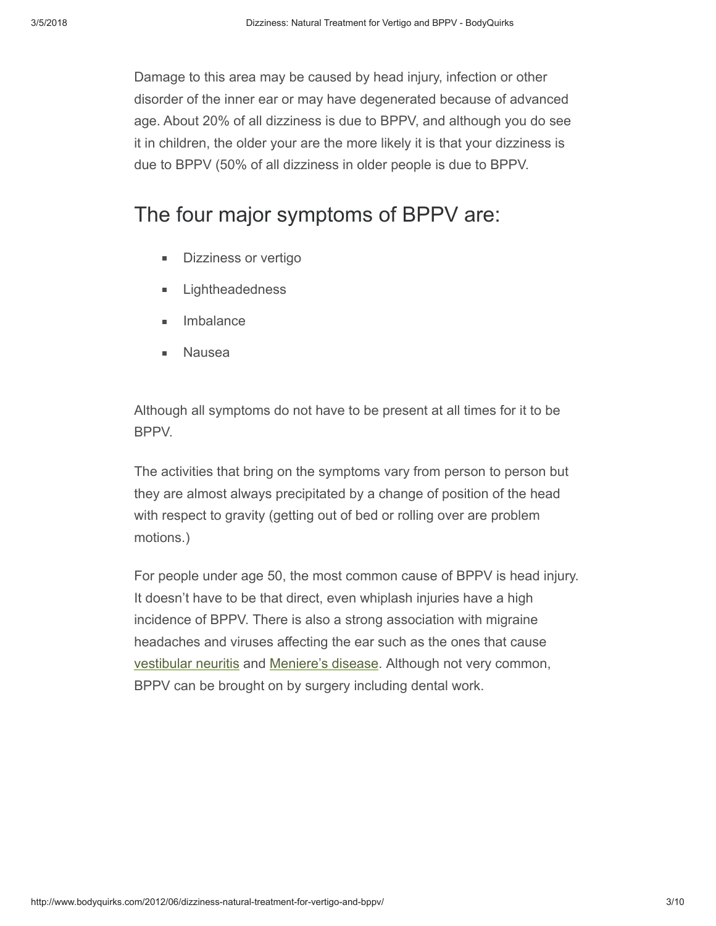Damage to this area may be caused by head injury, infection or other disorder of the inner ear or may have degenerated because of advanced age. About 20% of all dizziness is due to BPPV, and although you do see it in children, the older your are the more likely it is that your dizziness is due to BPPV (50% of all dizziness in older people is due to BPPV.

### The four major symptoms of BPPV are:

- Dizziness or vertigo  $\blacksquare$
- Lightheadedness
- Imbalance
- Nausea

Although all symptoms do not have to be present at all times for it to be BPPV.

The activities that bring on the symptoms vary from person to person but they are almost always precipitated by a change of position of the head with respect to gravity (getting out of bed or rolling over are problem motions.)

For people under age 50, the most common cause of BPPV is head injury. It doesn't have to be that direct, even whiplash injuries have a high incidence of BPPV. There is also a strong association with migraine headaches and viruses affecting the ear such as the ones that cause vestibular neuritis and Meniere's disease. Although not very common, BPPV can be brought on by surgery including dental work.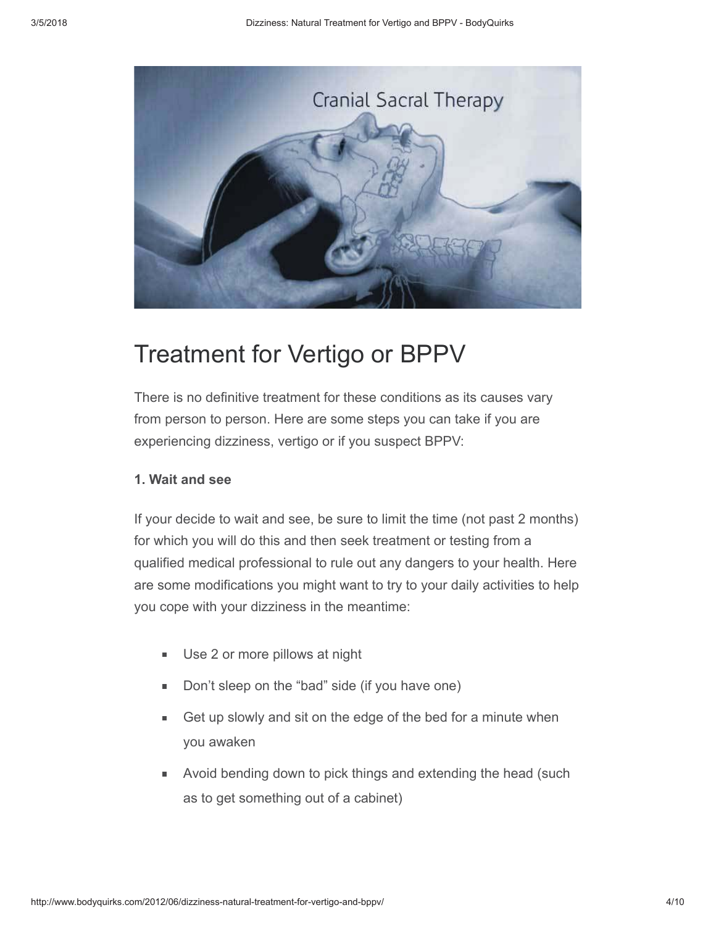

### Treatment for Vertigo or BPPV

There is no definitive treatment for these conditions as its causes vary from person to person. Here are some steps you can take if you are experiencing dizziness, vertigo or if you suspect BPPV:

#### **1. Wait and see**

If your decide to wait and see, be sure to limit the time (not past 2 months) for which you will do this and then seek treatment or testing from a qualified medical professional to rule out any dangers to your health. Here are some modifications you might want to try to your daily activities to help you cope with your dizziness in the meantime:

- Use 2 or more pillows at night  $\blacksquare$
- Don't sleep on the "bad" side (if you have one)
- Get up slowly and sit on the edge of the bed for a minute when m. you awaken
- Avoid bending down to pick things and extending the head (such o. as to get something out of a cabinet)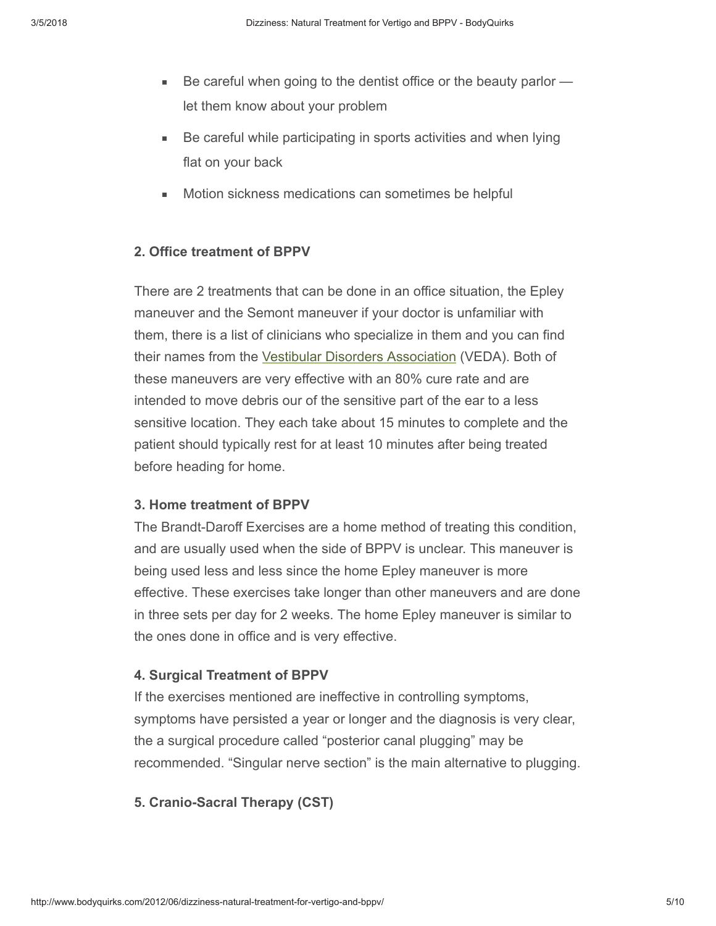- $\blacksquare$ Be careful when going to the dentist office or the beauty parlor let them know about your problem
- Be careful while participating in sports activities and when lying flat on your back
- Motion sickness medications can sometimes be helpful

#### **2. Office treatment of BPPV**

There are 2 treatments that can be done in an office situation, the Epley maneuver and the Semont maneuver if your doctor is unfamiliar with them, there is a list of clinicians who specialize in them and you can find their names from the Vestibular Disorders Association (VEDA). Both of these maneuvers are very effective with an 80% cure rate and are intended to move debris our of the sensitive part of the ear to a less sensitive location. They each take about 15 minutes to complete and the patient should typically rest for at least 10 minutes after being treated before heading for home.

#### **3. Home treatment of BPPV**

The Brandt-Daroff Exercises are a home method of treating this condition, and are usually used when the side of BPPV is unclear. This maneuver is being used less and less since the home Epley maneuver is more effective. These exercises take longer than other maneuvers and are done in three sets per day for 2 weeks. The home Epley maneuver is similar to the ones done in office and is very effective.

#### **4. Surgical Treatment of BPPV**

If the exercises mentioned are ineffective in controlling symptoms, symptoms have persisted a year or longer and the diagnosis is very clear, the a surgical procedure called "posterior canal plugging" may be recommended. "Singular nerve section" is the main alternative to plugging.

#### **5. Cranio-Sacral Therapy (CST)**